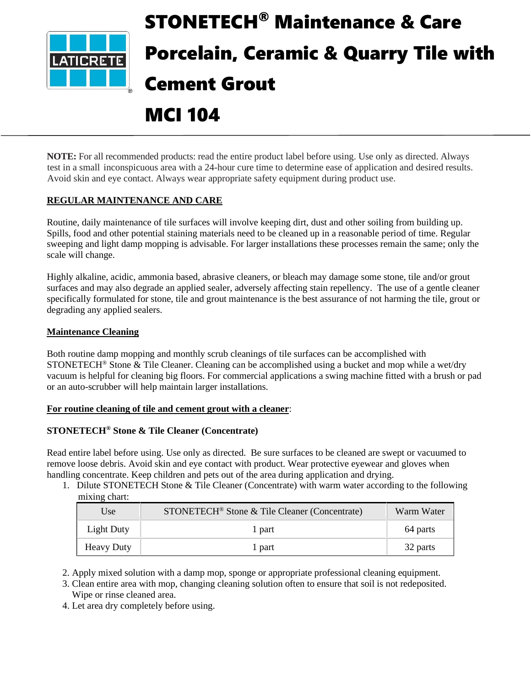

# STONETECH® Maintenance & Care Porcelain, Ceramic & Quarry Tile with Cement Grout

# MCI 104

**NOTE:** For all recommended products: read the entire product label before using. Use only as directed. Always test in a small inconspicuous area with a 24-hour cure time to determine ease of application and desired results. Avoid skin and eye contact. Always wear appropriate safety equipment during product use.

# **REGULAR MAINTENANCE AND CARE**

Routine, daily maintenance of tile surfaces will involve keeping dirt, dust and other soiling from building up. Spills, food and other potential staining materials need to be cleaned up in a reasonable period of time. Regular sweeping and light damp mopping is advisable. For larger installations these processes remain the same; only the scale will change.

Highly alkaline, acidic, ammonia based, abrasive cleaners, or bleach may damage some stone, tile and/or grout surfaces and may also degrade an applied sealer, adversely affecting stain repellency. The use of a gentle cleaner specifically formulated for stone, tile and grout maintenance is the best assurance of not harming the tile, grout or degrading any applied sealers.

# **Maintenance Cleaning**

Both routine damp mopping and monthly scrub cleanings of tile surfaces can be accomplished with STONETECH® Stone & Tile Cleaner. Cleaning can be accomplished using a bucket and mop while a wet/dry vacuum is helpful for cleaning big floors. For commercial applications a swing machine fitted with a brush or pad or an auto-scrubber will help maintain larger installations.

#### **For routine cleaning of tile and cement grout with a cleaner**:

#### **STONETECH® Stone & Tile Cleaner (Concentrate)**

Read entire label before using. Use only as directed. Be sure surfaces to be cleaned are swept or vacuumed to remove loose debris. Avoid skin and eye contact with product. Wear protective eyewear and gloves when handling concentrate. Keep children and pets out of the area during application and drying.

1. Dilute STONETECH Stone & Tile Cleaner (Concentrate) with warm water according to the following mixing chart:

| Use               | STONETECH <sup>®</sup> Stone & Tile Cleaner (Concentrate) | Warm Water |
|-------------------|-----------------------------------------------------------|------------|
| Light Duty        | l part                                                    | 64 parts   |
| <b>Heavy Duty</b> | l part                                                    | 32 parts   |

2. Apply mixed solution with a damp mop, sponge or appropriate professional cleaning equipment.

3. Clean entire area with mop, changing cleaning solution often to ensure that soil is not redeposited. Wipe or rinse cleaned area.

4. Let area dry completely before using.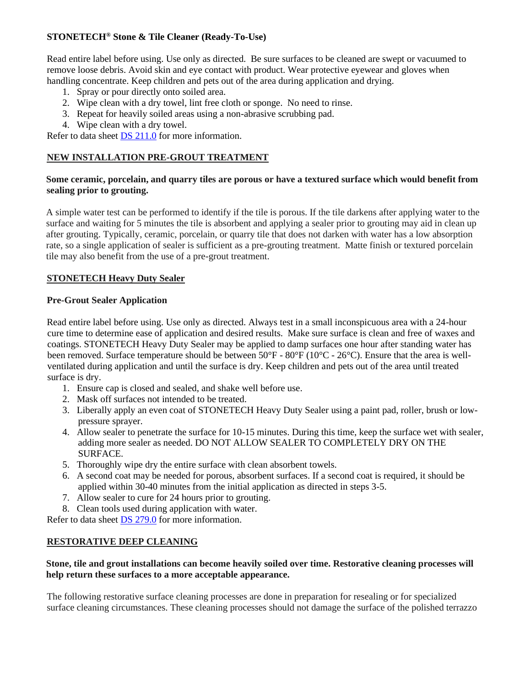# **STONETECH® Stone & Tile Cleaner (Ready-To-Use)**

Read entire label before using. Use only as directed. Be sure surfaces to be cleaned are swept or vacuumed to remove loose debris. Avoid skin and eye contact with product. Wear protective eyewear and gloves when handling concentrate. Keep children and pets out of the area during application and drying.

- 1. Spray or pour directly onto soiled area.
- 2. Wipe clean with a dry towel, lint free cloth or sponge. No need to rinse.
- 3. Repeat for heavily soiled areas using a non-abrasive scrubbing pad.
- 4. Wipe clean with a dry towel.

Refer to data sheet DS [211.0](https://cdn.laticrete.com/~/media/product-documents/product-data-sheets/ds-211.ashx) for more information.

# **NEW INSTALLATION PRE-GROUT TREATMENT**

# **Some ceramic, porcelain, and quarry tiles are porous or have a textured surface which would benefit from sealing prior to grouting.**

A simple water test can be performed to identify if the tile is porous. If the tile darkens after applying water to the surface and waiting for 5 minutes the tile is absorbent and applying a sealer prior to grouting may aid in clean up after grouting. Typically, ceramic, porcelain, or quarry tile that does not darken with water has a low absorption rate, so a single application of sealer is sufficient as a pre-grouting treatment. Matte finish or textured porcelain tile may also benefit from the use of a pre-grout treatment.

# **STONETECH Heavy Duty Sealer**

#### **Pre-Grout Sealer Application**

Read entire label before using. Use only as directed. Always test in a small inconspicuous area with a 24-hour cure time to determine ease of application and desired results. Make sure surface is clean and free of waxes and coatings. STONETECH Heavy Duty Sealer may be applied to damp surfaces one hour after standing water has been removed. Surface temperature should be between 50°F - 80°F (10°C - 26°C). Ensure that the area is wellventilated during application and until the surface is dry. Keep children and pets out of the area until treated surface is dry.

- 1. Ensure cap is closed and sealed, and shake well before use.
- 2. Mask off surfaces not intended to be treated.
- 3. Liberally apply an even coat of STONETECH Heavy Duty Sealer using a paint pad, roller, brush or lowpressure sprayer.
- 4. Allow sealer to penetrate the surface for 10-15 minutes. During this time, keep the surface wet with sealer, adding more sealer as needed. DO NOT ALLOW SEALER TO COMPLETELY DRY ON THE SURFACE.
- 5. Thoroughly wipe dry the entire surface with clean absorbent towels.
- 6. A second coat may be needed for porous, absorbent surfaces. If a second coat is required, it should be applied within 30-40 minutes from the initial application as directed in steps 3-5.
- 7. Allow sealer to cure for 24 hours prior to grouting.
- 8. Clean tools used during application with water.

Refer to data sheet DS [279.0](https://cdn.laticrete.com/~/media/product-documents/product-data-sheets/ds-279.ashx) for more information.

#### **RESTORATIVE DEEP CLEANING**

# **Stone, tile and grout installations can become heavily soiled over time. Restorative cleaning processes will help return these surfaces to a more acceptable appearance.**

The following restorative surface cleaning processes are done in preparation for resealing or for specialized surface cleaning circumstances. These cleaning processes should not damage the surface of the polished terrazzo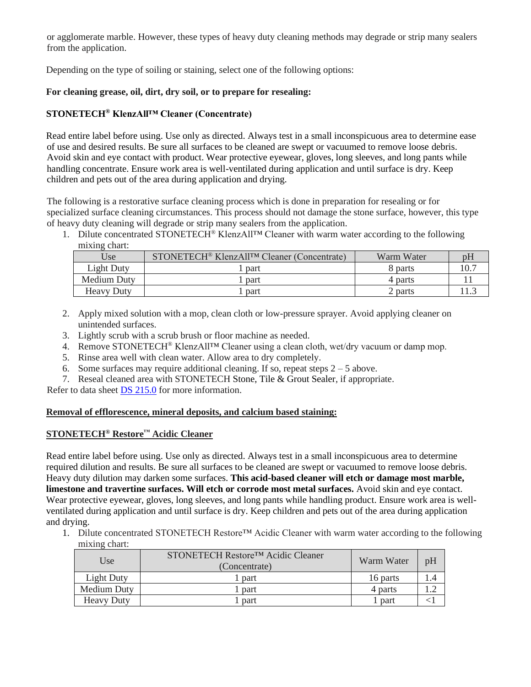or agglomerate marble. However, these types of heavy duty cleaning methods may degrade or strip many sealers from the application.

Depending on the type of soiling or staining, select one of the following options:

# **For cleaning grease, oil, dirt, dry soil, or to prepare for resealing:**

# **STONETECH® KlenzAll™ Cleaner (Concentrate)**

Read entire label before using. Use only as directed. Always test in a small inconspicuous area to determine ease of use and desired results. Be sure all surfaces to be cleaned are swept or vacuumed to remove loose debris. Avoid skin and eye contact with product. Wear protective eyewear, gloves, long sleeves, and long pants while handling concentrate. Ensure work area is well-ventilated during application and until surface is dry. Keep children and pets out of the area during application and drying.

The following is a restorative surface cleaning process which is done in preparation for resealing or for specialized surface cleaning circumstances. This process should not damage the stone surface, however, this type of heavy duty cleaning will degrade or strip many sealers from the application.

1. Dilute concentrated STONETECH<sup>®</sup> KlenzAll<sup>TM</sup> Cleaner with warm water according to the following mixing chart:

| Use               | STONETECH <sup>®</sup> KlenzAll <sup>TM</sup> Cleaner (Concentrate) | Warm Water | pH  |
|-------------------|---------------------------------------------------------------------|------------|-----|
| Light Duty        | part                                                                | 8 parts    | 10. |
| Medium Duty       | part                                                                | 4 parts    |     |
| <b>Heavy Duty</b> | part                                                                | 2 parts    |     |

- 2. Apply mixed solution with a mop, clean cloth or low-pressure sprayer. Avoid applying cleaner on unintended surfaces.
- 3. Lightly scrub with a scrub brush or floor machine as needed.
- 4. Remove STONETECH® KlenzAll™ Cleaner using a clean cloth, wet/dry vacuum or damp mop.
- 5. Rinse area well with clean water. Allow area to dry completely.
- 6. Some surfaces may require additional cleaning. If so, repeat steps  $2 5$  above.
- 7. Reseal cleaned area with STONETECH Stone, Tile & Grout Sealer, if appropriate.

Refer to data sheet DS [215.0](https://cdn.laticrete.com/~/media/product-documents/product-data-sheets/ds-215.ashx) for more information.

#### **Removal of efflorescence, mineral deposits, and calcium based staining:**

# **STONETECH® Restore™ Acidic Cleaner**

Read entire label before using. Use only as directed. Always test in a small inconspicuous area to determine required dilution and results. Be sure all surfaces to be cleaned are swept or vacuumed to remove loose debris. Heavy duty dilution may darken some surfaces. **This acid-based cleaner will etch or damage most marble, limestone and travertine surfaces. Will etch or corrode most metal surfaces.** Avoid skin and eye contact. Wear protective eyewear, gloves, long sleeves, and long pants while handling product. Ensure work area is wellventilated during application and until surface is dry. Keep children and pets out of the area during application and drying.

1. Dilute concentrated STONETECH Restore™ Acidic Cleaner with warm water according to the following mixing chart:

| Use               | STONETECH Restore <sup>TM</sup> Acidic Cleaner<br>(Concentrate) | Warm Water | pH |
|-------------------|-----------------------------------------------------------------|------------|----|
| Light Duty        | 1 part                                                          | 16 parts   |    |
| Medium Duty       | l part                                                          | 4 parts    |    |
| <b>Heavy Duty</b> | part                                                            | part       |    |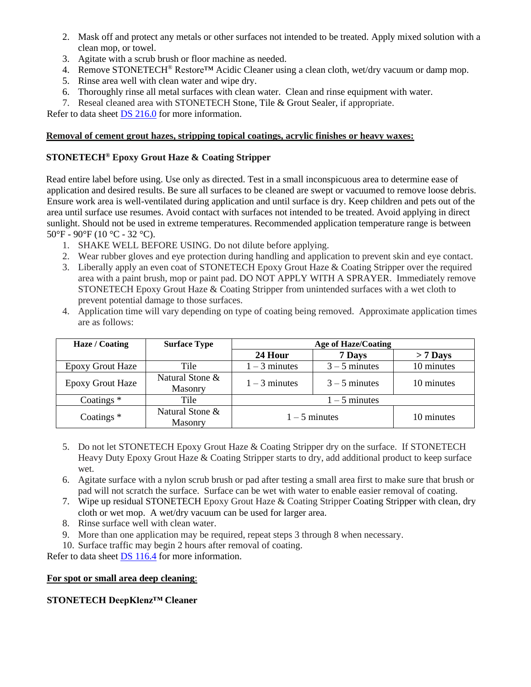- 2. Mask off and protect any metals or other surfaces not intended to be treated. Apply mixed solution with a clean mop, or towel.
- 3. Agitate with a scrub brush or floor machine as needed.
- 4. Remove STONETECH<sup>®</sup> Restore<sup>TM</sup> Acidic Cleaner using a clean cloth, wet/dry vacuum or damp mop.
- 5. Rinse area well with clean water and wipe dry.
- 6. Thoroughly rinse all metal surfaces with clean water. Clean and rinse equipment with water.
- 7. Reseal cleaned area with STONETECH Stone, Tile & Grout Sealer, if appropriate.

Refer to data sheet DS [216.0](https://cdn.laticrete.com/~/media/product-documents/product-data-sheets/ds-216.ashx) for more information.

# **Removal of cement grout hazes, stripping topical coatings, acrylic finishes or heavy waxes:**

# **STONETECH® Epoxy Grout Haze & Coating Stripper**

Read entire label before using. Use only as directed. Test in a small inconspicuous area to determine ease of application and desired results. Be sure all surfaces to be cleaned are swept or vacuumed to remove loose debris. Ensure work area is well-ventilated during application and until surface is dry. Keep children and pets out of the area until surface use resumes. Avoid contact with surfaces not intended to be treated. Avoid applying in direct sunlight. Should not be used in extreme temperatures. Recommended application temperature range is between 50°F - 90°F (10 °C - 32 °C).

- 1. SHAKE WELL BEFORE USING. Do not dilute before applying.
- 2. Wear rubber gloves and eye protection during handling and application to prevent skin and eye contact.
- 3. Liberally apply an even coat of STONETECH Epoxy Grout Haze & Coating Stripper over the required area with a paint brush, mop or paint pad. DO NOT APPLY WITH A SPRAYER. Immediately remove STONETECH Epoxy Grout Haze & Coating Stripper from unintended surfaces with a wet cloth to prevent potential damage to those surfaces.
- 4. Application time will vary depending on type of coating being removed. Approximate application times are as follows:

| Haze / Coating          | <b>Surface Type</b>               | Age of Haze/Coating |                 |            |
|-------------------------|-----------------------------------|---------------------|-----------------|------------|
|                         |                                   | 24 Hour             | 7 Days          | $> 7$ Days |
| <b>Epoxy Grout Haze</b> | Tile                              | $1 - 3$ minutes     | $3 - 5$ minutes | 10 minutes |
| <b>Epoxy Grout Haze</b> | Natural Stone &<br><b>Masonry</b> | $1 - 3$ minutes     | $3 - 5$ minutes | 10 minutes |
| Coatings $*$            | Tile                              | $1 - 5$ minutes     |                 |            |
| Coatings $*$            | Natural Stone &<br>Masonry        | $1 - 5$ minutes     |                 | 10 minutes |

- 5. Do not let STONETECH Epoxy Grout Haze & Coating Stripper dry on the surface. If STONETECH Heavy Duty Epoxy Grout Haze & Coating Stripper starts to dry, add additional product to keep surface wet.
- 6. Agitate surface with a nylon scrub brush or pad after testing a small area first to make sure that brush or pad will not scratch the surface. Surface can be wet with water to enable easier removal of coating.
- 7. Wipe up residual STONETECH Epoxy Grout Haze & Coating Stripper Coating Stripper with clean, dry cloth or wet mop. A wet/dry vacuum can be used for larger area.
- 8. Rinse surface well with clean water.
- 9. More than one application may be required, repeat steps 3 through 8 when necessary.
- 10. Surface traffic may begin 2 hours after removal of coating.

Refer to data sheet [DS 116.4](https://cdn.laticrete.com/~/media/product-documents/product-data-sheets/ds1664_stonetech-epoxy-grout-haze-coating-stripper.ashx) for more information.

#### **For spot or small area deep cleaning**:

# **STONETECH DeepKlenz™ Cleaner**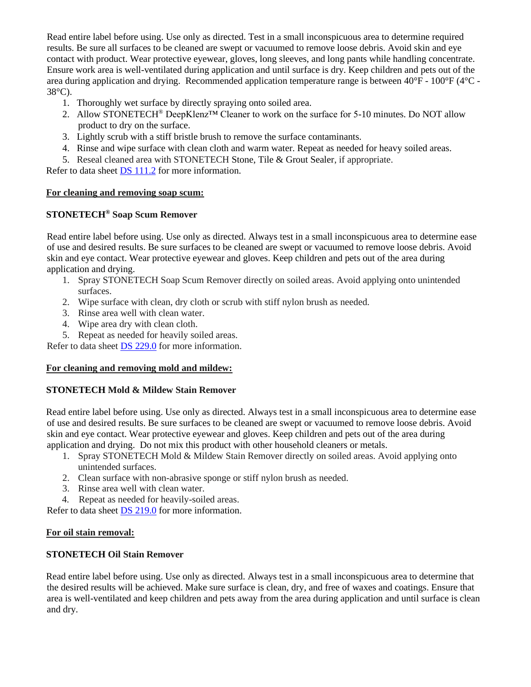Read entire label before using. Use only as directed. Test in a small inconspicuous area to determine required results. Be sure all surfaces to be cleaned are swept or vacuumed to remove loose debris. Avoid skin and eye contact with product. Wear protective eyewear, gloves, long sleeves, and long pants while handling concentrate. Ensure work area is well-ventilated during application and until surface is dry. Keep children and pets out of the area during application and drying. Recommended application temperature range is between 40°F - 100°F (4°C - 38°C).

- 1. Thoroughly wet surface by directly spraying onto soiled area.
- 2. Allow STONETECH® DeepKlenz™ Cleaner to work on the surface for 5-10 minutes. Do NOT allow product to dry on the surface.
- 3. Lightly scrub with a stiff bristle brush to remove the surface contaminants.
- 4. Rinse and wipe surface with clean cloth and warm water. Repeat as needed for heavy soiled areas.
- 5. Reseal cleaned area with STONETECH Stone, Tile & Grout Sealer, if appropriate.

Refer to data sheet **DS** [111.2](https://cdn.laticrete.com/~/media/product-documents/product-data-sheets/ds-1112.ashx) for more information.

#### **For cleaning and removing soap scum:**

#### **STONETECH® Soap Scum Remover**

Read entire label before using. Use only as directed. Always test in a small inconspicuous area to determine ease of use and desired results. Be sure surfaces to be cleaned are swept or vacuumed to remove loose debris. Avoid skin and eye contact. Wear protective eyewear and gloves. Keep children and pets out of the area during application and drying.

- 1. Spray STONETECH Soap Scum Remover directly on soiled areas. Avoid applying onto unintended surfaces.
- 2. Wipe surface with clean, dry cloth or scrub with stiff nylon brush as needed.
- 3. Rinse area well with clean water.
- 4. Wipe area dry with clean cloth.
- 5. Repeat as needed for heavily soiled areas.

Refer to data sheet DS [229.0](https://cdn.laticrete.com/~/media/product-documents/product-data-sheets/ds-229.ashx) for more information.

#### **For cleaning and removing mold and mildew:**

#### **STONETECH Mold & Mildew Stain Remover**

Read entire label before using. Use only as directed. Always test in a small inconspicuous area to determine ease of use and desired results. Be sure surfaces to be cleaned are swept or vacuumed to remove loose debris. Avoid skin and eye contact. Wear protective eyewear and gloves. Keep children and pets out of the area during application and drying. Do not mix this product with other household cleaners or metals.

- 1. Spray STONETECH Mold & Mildew Stain Remover directly on soiled areas. Avoid applying onto unintended surfaces.
- 2. Clean surface with non-abrasive sponge or stiff nylon brush as needed.
- 3. Rinse area well with clean water.
- 4. Repeat as needed for heavily-soiled areas.

Refer to data sheet **DS** 219.0 for more information.

#### **For oil stain removal:**

#### **STONETECH Oil Stain Remover**

Read entire label before using. Use only as directed. Always test in a small inconspicuous area to determine that the desired results will be achieved. Make sure surface is clean, dry, and free of waxes and coatings. Ensure that area is well-ventilated and keep children and pets away from the area during application and until surface is clean and dry.